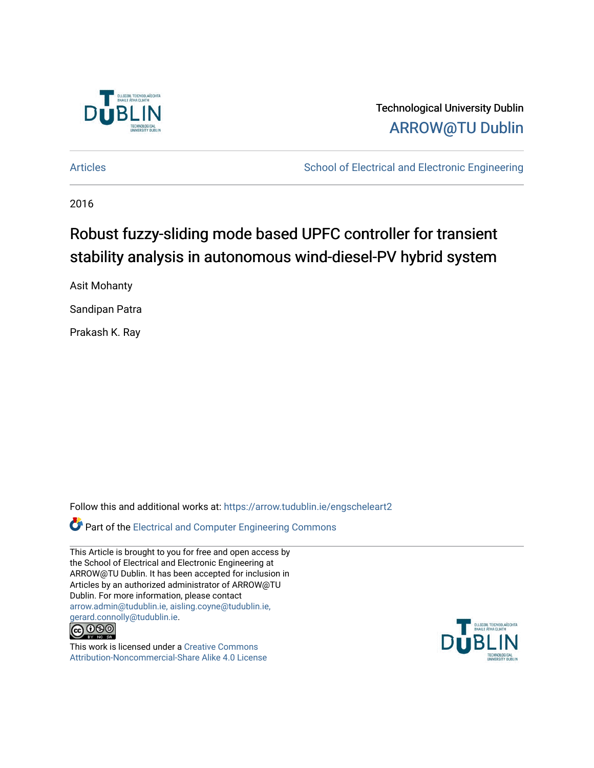

Technological University Dublin [ARROW@TU Dublin](https://arrow.tudublin.ie/) 

[Articles](https://arrow.tudublin.ie/engscheleart2) **School of Electrical and Electronic Engineering** 

2016

# Robust fuzzy-sliding mode based UPFC controller for transient stability analysis in autonomous wind-diesel-PV hybrid system

Asit Mohanty

Sandipan Patra

Prakash K. Ray

Follow this and additional works at: [https://arrow.tudublin.ie/engscheleart2](https://arrow.tudublin.ie/engscheleart2?utm_source=arrow.tudublin.ie%2Fengscheleart2%2F301&utm_medium=PDF&utm_campaign=PDFCoverPages)

Part of the [Electrical and Computer Engineering Commons](http://network.bepress.com/hgg/discipline/266?utm_source=arrow.tudublin.ie%2Fengscheleart2%2F301&utm_medium=PDF&utm_campaign=PDFCoverPages) 

This Article is brought to you for free and open access by the School of Electrical and Electronic Engineering at ARROW@TU Dublin. It has been accepted for inclusion in Articles by an authorized administrator of ARROW@TU Dublin. For more information, please contact [arrow.admin@tudublin.ie, aisling.coyne@tudublin.ie,](mailto:arrow.admin@tudublin.ie,%20aisling.coyne@tudublin.ie,%20gerard.connolly@tudublin.ie)  [gerard.connolly@tudublin.ie](mailto:arrow.admin@tudublin.ie,%20aisling.coyne@tudublin.ie,%20gerard.connolly@tudublin.ie).



This work is licensed under a [Creative Commons](http://creativecommons.org/licenses/by-nc-sa/4.0/) [Attribution-Noncommercial-Share Alike 4.0 License](http://creativecommons.org/licenses/by-nc-sa/4.0/)

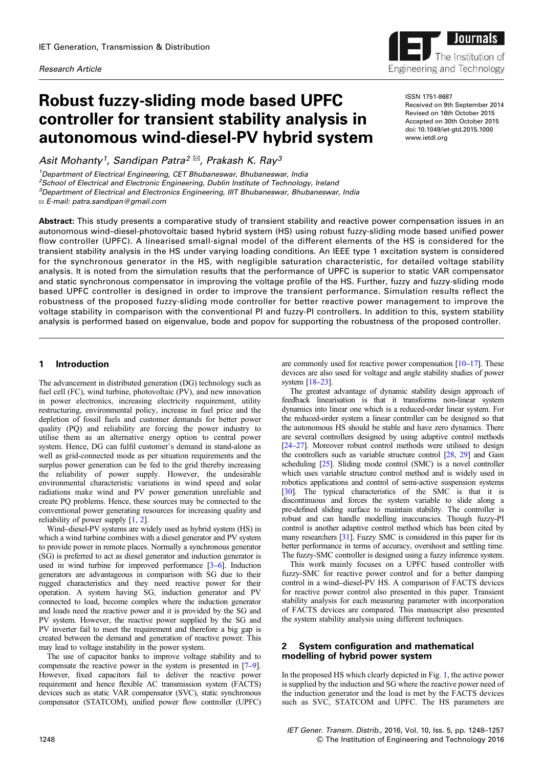*Research Article*

# Robust fuzzy-sliding mode based UPFC controller for transient stability analysis in autonomous wind-diesel-PV hybrid system

*Asit Mohanty<sup>1</sup> , Sandipan Patra[2](mailto:)* [✉](mailto:)*[, Prakash K. Ray](mailto:)[3](mailto:)*

*<sup>1</sup>Department of Electrical Engineering, CET Bhubaneswar, Bhubaneswar, India <sup>2</sup>School of Electrical and Electronic Engineering, Dublin Institute of Technology, Ireland <sup>3</sup>Department of Electrical and Electronics Engineering, IIIT Bhubaneswar, Bhubaneswar, India*

✉ *E-mail: [patra.sandipan@gmail.com](mailto:)*

Abstract: This study presents a comparative study of transient stability and reactive power compensation issues in an autonomous wind–diesel-photovoltaic based hybrid system (HS) using robust fuzzy-sliding mode based unified power flow controller (UPFC). A linearised small-signal model of the different elements of the HS is considered for the transient stability analysis in the HS under varying loading conditions. An IEEE type 1 excitation system is considered for the synchronous generator in the HS, with negligible saturation characteristic, for detailed voltage stability analysis. It is noted from the simulation results that the performance of UPFC is superior to static VAR compensator and static synchronous compensator in improving the voltage profile of the HS. Further, fuzzy and fuzzy-sliding mode based UPFC controller is designed in order to improve the transient performance. Simulation results reflect the robustness of the proposed fuzzy-sliding mode controller for better reactive power management to improve the voltage stability in comparison with the conventional PI and fuzzy-PI controllers. In addition to this, system stability analysis is performed based on eigenvalue, bode and popov for supporting the robustness of the proposed controller.

## 1 Introduction

The advancement in distributed generation (DG) technology such as fuel cell (FC), wind turbine, photovoltaic (PV), and new innovation in power electronics, increasing electricity requirement, utility restructuring, environmental policy, increase in fuel price and the depletion of fossil fuels and customer demands for better power quality (PO) and reliability are forcing the power industry to utilise them as an alternative energy option to central power system. Hence, DG can fulfil customer's demand in stand-alone as well as grid-connected mode as per situation requirements and the surplus power generation can be fed to the grid thereby increasing the reliability of power supply. However, the undesirable environmental characteristic variations in wind speed and solar radiations make wind and PV power generation unreliable and create PQ problems. Hence, these sources may be connected to the conventional power generating resources for increasing quality and reliability of power supply  $[1, 2]$  $[1, 2]$  $[1, 2]$  $[1, 2]$ .

Wind–diesel-PV systems are widely used as hybrid system (HS) in which a wind turbine combines with a diesel generator and PV system to provide power in remote places. Normally a synchronous generator (SG) is preferred to act as diesel generator and induction generator is used in wind turbine for improved performance [\[3](#page-10-0)–[6](#page-10-0)]. Induction generators are advantageous in comparison with SG due to their rugged characteristics and they need reactive power for their operation. A system having SG, induction generator and PV connected to load, become complex where the induction generator and loads need the reactive power and it is provided by the SG and PV system. However, the reactive power supplied by the SG and PV inverter fail to meet the requirement and therefore a big gap is created between the demand and generation of reactive power. This may lead to voltage instability in the power system.

The use of capacitor banks to improve voltage stability and to compensate the reactive power in the system is presented in [\[7](#page-10-0)–[9](#page-10-0)]. However, fixed capacitors fail to deliver the reactive power requirement and hence flexible AC transmission system (FACTS) devices such as static VAR compensator (SVC), static synchronous compensator (STATCOM), unified power flow controller (UPFC) are commonly used for reactive power compensation  $[10-17]$  $[10-17]$  $[10-17]$  $[10-17]$ . These devices are also used for voltage and angle stability studies of power system [\[18](#page-10-0)–[23](#page-10-0)].

The greatest advantage of dynamic stability design approach of feedback linearisation is that it transforms non-linear system dynamics into linear one which is a reduced-order linear system. For the reduced-order system a linear controller can be designed so that the autonomous HS should be stable and have zero dynamics. There are several controllers designed by using adaptive control methods [[24](#page-10-0)–[27\]](#page-10-0). Moreover robust control methods were utilised to design the controllers such as variable structure control [[28](#page-10-0), [29\]](#page-10-0) and Gain scheduling [\[25\]](#page-10-0). Sliding mode control (SMC) is a novel controller which uses variable structure control method and is widely used in robotics applications and control of semi-active suspension systems [[30](#page-10-0)]. The typical characteristics of the SMC is that it is discontinuous and forces the system variable to slide along a pre-defined sliding surface to maintain stability. The controller is robust and can handle modelling inaccuracies. Though fuzzy-PI control is another adaptive control method which has been cited by many researchers [\[31\]](#page-10-0). Fuzzy SMC is considered in this paper for its better performance in terms of accuracy, overshoot and settling time. The fuzzy-SMC controller is designed using a fuzzy inference system.

This work mainly focuses on a UPFC based controller with fuzzy-SMC for reactive power control and for a better damping control in a wind–diesel-PV HS. A comparison of FACTS devices for reactive power control also presented in this paper. Transient stability analysis for each measuring parameter with incorporation of FACTS devices are compared. This manuscript also presented the system stability analysis using different techniques.

# 2 System configuration and mathematical modelling of hybrid power system

In the proposed HS which clearly depicted in Fig. [1,](#page-2-0) the active power is supplied by the induction and SG where the reactive power need of the induction generator and the load is met by the FACTS devices such as SVC, STATCOM and UPFC. The HS parameters are



ISSN 1751-8687 Received on 9th September 2014 Revised on 16th October 2015 Accepted on 30th October 2015 doi: 10.1049/iet-gtd.2015.1000 www.ietdl.org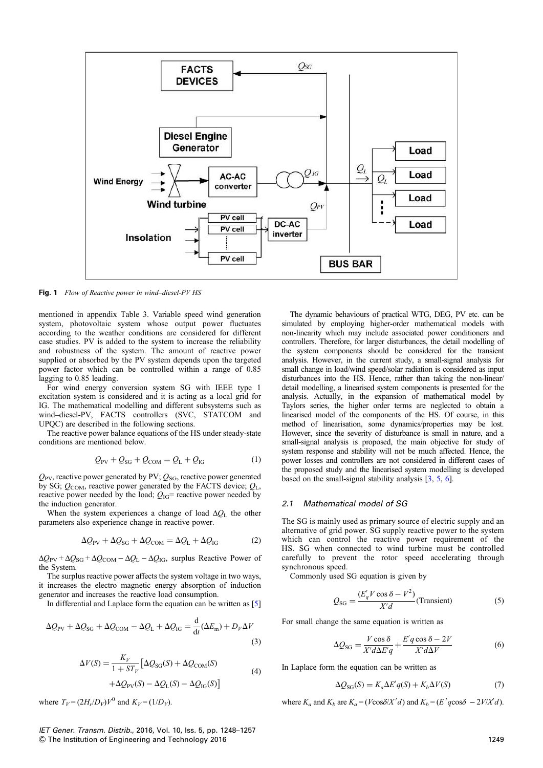<span id="page-2-0"></span>

Fig. 1 *Flow of Reactive power in wind*–*diesel-PV HS*

mentioned in appendix Table 3. Variable speed wind generation system, photovoltaic system whose output power fluctuates according to the weather conditions are considered for different case studies. PV is added to the system to increase the reliability and robustness of the system. The amount of reactive power supplied or absorbed by the PV system depends upon the targeted power factor which can be controlled within a range of 0.85 lagging to 0.85 leading.

For wind energy conversion system SG with IEEE type 1 excitation system is considered and it is acting as a local grid for IG. The mathematical modelling and different subsystems such as wind–diesel-PV, FACTS controllers (SVC, STATCOM and UPQC) are described in the following sections.

The reactive power balance equations of the HS under steady-state conditions are mentioned below.

$$
Q_{\text{PV}} + Q_{\text{SG}} + Q_{\text{COM}} = Q_{\text{L}} + Q_{\text{IG}} \tag{1}
$$

 $Q_{\text{PV}}$ , reactive power generated by PV;  $Q_{\text{SG}}$ , reactive power generated by SG;  $Q_{COM}$ , reactive power generated by the FACTS device;  $Q_{\text{L}}$ , reactive power needed by the load;  $Q_{IG}$ = reactive power needed by the induction generator.

When the system experiences a change of load Δ*Q*<sup>L</sup> the other parameters also experience change in reactive power.

$$
\Delta Q_{\rm PV} + \Delta Q_{\rm SG} + \Delta Q_{\rm COM} = \Delta Q_{\rm L} + \Delta Q_{\rm IG} \tag{2}
$$

 $\Delta Q_{\text{PV}} + \Delta Q_{\text{SG}} + \Delta Q_{\text{COM}} - \Delta Q_{\text{L}} - \Delta Q_{\text{IG}}$ , surplus Reactive Power of the System.

The surplus reactive power affects the system voltage in two ways, it increases the electro magnetic energy absorption of induction generator and increases the reactive load consumption.

In differential and Laplace form the equation can be written as [[5](#page-10-0)]

$$
\Delta Q_{\rm PV} + \Delta Q_{\rm SG} + \Delta Q_{\rm COM} - \Delta Q_{\rm L} + \Delta Q_{\rm IG} = \frac{\mathrm{d}}{\mathrm{d}t} (\Delta E_{\rm m}) + D_V \Delta V
$$
\n(3)

$$
\Delta V(S) = \frac{K_V}{1 + ST_V} \left[ \Delta Q_{\text{SG}}(S) + \Delta Q_{\text{COM}}(S) + \Delta Q_{\text{PV}}(S) - \Delta Q_{\text{LG}}(S) - \Delta Q_{\text{IG}}(S) \right]
$$
(4)

where  $T_V = (2H_r/D_V)V^0$  and  $K_V = (1/D_V)$ .

*IET Gener. Transm. Distrib.*, 2016, Vol. 10, Iss. 5, pp. 1248–1257 & The Institution of Engineering and Technology 2016 1249

The dynamic behaviours of practical WTG, DEG, PV etc. can be simulated by employing higher-order mathematical models with non-linearity which may include associated power conditioners and controllers. Therefore, for larger disturbances, the detail modelling of the system components should be considered for the transient analysis. However, in the current study, a small-signal analysis for small change in load/wind speed/solar radiation is considered as input disturbances into the HS. Hence, rather than taking the non-linear/ detail modelling, a linearised system components is presented for the analysis. Actually, in the expansion of mathematical model by Taylors series, the higher order terms are neglected to obtain a linearised model of the components of the HS. Of course, in this method of linearisation, some dynamics/properties may be lost. However, since the severity of disturbance is small in nature, and a small-signal analysis is proposed, the main objective for study of system response and stability will not be much affected. Hence, the power losses and controllers are not considered in different cases of the proposed study and the linearised system modelling is developed based on the small-signal stability analysis [\[3,](#page-10-0) [5](#page-10-0), [6\]](#page-10-0).

#### *2.1 Mathematical model of SG*

The SG is mainly used as primary source of electric supply and an alternative of grid power. SG supply reactive power to the system which can control the reactive power requirement of the HS. SG when connected to wind turbine must be controlled carefully to prevent the rotor speed accelerating through synchronous speed.

Commonly used SG equation is given by

$$
Q_{\rm SG} = \frac{(E_q' V \cos \delta - V^2)}{X' d} \text{(Transient)} \tag{5}
$$

For small change the same equation is written as

$$
\Delta Q_{\text{SG}} = \frac{V \cos \delta}{X' d\Delta E' q} + \frac{E' q \cos \delta - 2V}{X' d\Delta V} \tag{6}
$$

In Laplace form the equation can be written as

$$
\Delta Q_{\rm SG}(S) = K_a \Delta E' q(S) + K_b \Delta V(S) \tag{7}
$$

where  $K_a$  and  $K_b$  are  $K_a = (V\cos\delta/X'd)$  and  $K_b = (E'q\cos\delta - 2V/X'd)$ .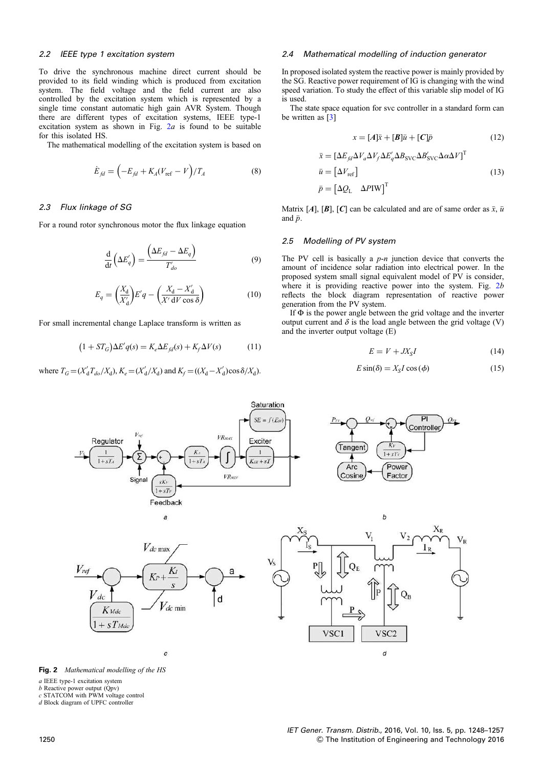#### <span id="page-3-0"></span>*2.2 IEEE type 1 excitation system*

To drive the synchronous machine direct current should be provided to its field winding which is produced from excitation system. The field voltage and the field current are also controlled by the excitation system which is represented by a single time constant automatic high gain AVR System. Though there are different types of excitation systems, IEEE type-1 excitation system as shown in Fig. 2*a* is found to be suitable for this isolated HS.

The mathematical modelling of the excitation system is based on

$$
\dot{E}_{fd} = \left(-E_{fd} + K_A(V_{\text{ref}} - V)\right) / T_A \tag{8}
$$

#### *2.3 Flux linkage of SG*

For a round rotor synchronous motor the flux linkage equation

$$
\frac{\mathrm{d}}{\mathrm{d}t} \left( \Delta E_q' \right) = \frac{\left( \Delta E_{fd} - \Delta E_q \right)}{T_{do}'} \tag{9}
$$

$$
E_q = \left(\frac{X_d}{X_d'}\right) E' q - \left(\frac{X_d - X_d'}{X' dV \cos \delta}\right)
$$
(10)

For small incremental change Laplace transform is written as

$$
(1 + ST_G)\Delta E'q(s) = K_e \Delta E_{fd}(s) + K_f \Delta V(s)
$$
 (11)

 $W$  where  $T_G = (X'_d T_{d0} / X_d)$ ,  $K_e = (X'_d / X_d)$  and  $K_f = ((X_d - X'_d) \cos \delta / X_d)$ .

#### *2.4 Mathematical modelling of induction generator*

In proposed isolated system the reactive power is mainly provided by the SG. Reactive power requirement of IG is changing with the wind speed variation. To study the effect of this variable slip model of IG is used.

The state space equation for svc controller in a standard form can be written as [\[3\]](#page-10-0)

$$
x = [A]\bar{x} + [B]\bar{u} + [C]\bar{p} \tag{12}
$$

$$
\bar{x} = [\Delta E_{fd} \Delta V_a \Delta V_f \Delta E'_q \Delta B_{\text{SVC}} \Delta B'_{\text{SVC}} \Delta \alpha \Delta V]^{\text{T}}
$$
  
\n
$$
\bar{u} = [\Delta V_{\text{ref}}]
$$
  
\n
$$
\bar{p} = [\Delta Q_{\text{L}} \Delta P \text{IW}]^{\text{T}}
$$
\n(13)

Matrix [A], [B], [C] can be calculated and are of same order as  $\bar{x}$ ,  $\bar{u}$ and  $\bar{p}$ .

#### *2.5 Modelling of PV system*

The PV cell is basically a *p*-*n* junction device that converts the amount of incidence solar radiation into electrical power. In the proposed system small signal equivalent model of PV is consider, where it is providing reactive power into the system. Fig. 2*b* reflects the block diagram representation of reactive power generation from the PV system.

If Φ is the power angle between the grid voltage and the inverter output current and  $\delta$  is the load angle between the grid voltage (V) and the inverter output voltage (E)

$$
E = V + JX_S I \tag{14}
$$

$$
E\sin(\delta) = X_{S}I\cos(\phi) \tag{15}
$$



Fig. 2 *Mathematical modelling of the HS*

- *a* IEEE type-1 excitation system
- *b* Reactive power output (Qpv)

*c* STATCOM with PWM voltage control

*d* Block diagram of UPFC controller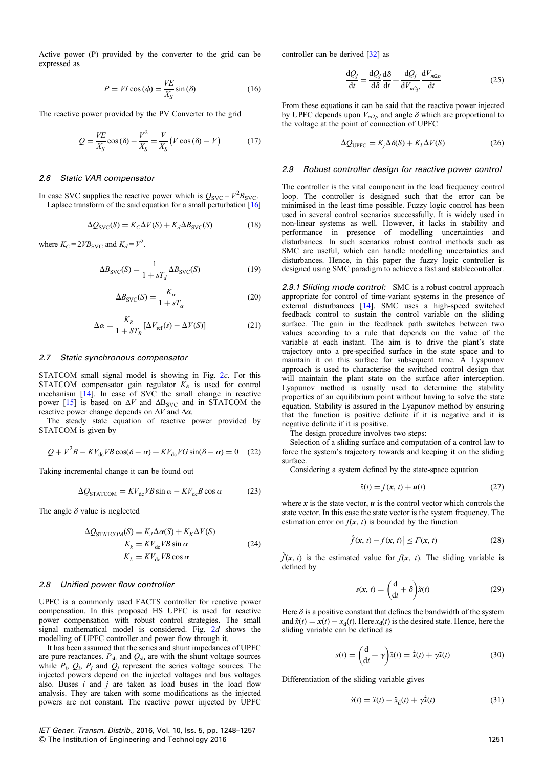Active power (P) provided by the converter to the grid can be expressed as

$$
P = VI\cos\left(\phi\right) = \frac{VE}{X_S}\sin\left(\delta\right) \tag{16}
$$

The reactive power provided by the PV Converter to the grid

$$
Q = \frac{VE}{X_S}\cos\left(\delta\right) - \frac{V^2}{X_S} = \frac{V}{X_S}\left(V\cos\left(\delta\right) - V\right) \tag{17}
$$

#### *2.6 Static VAR compensator*

In case SVC supplies the reactive power which is  $Q_{\text{SVC}} = V^2 B_{\text{SVC}}$ . Laplace transform of the said equation for a small perturbation [[16](#page-10-0)]

$$
\Delta Q_{\rm SVC}(S) = K_C \Delta V(S) + K_d \Delta B_{\rm SVC}(S) \tag{18}
$$

where  $K_C = 2VB_{SVC}$  and  $K_d = V^2$ .

$$
\Delta B_{\rm SVC}(S) = \frac{1}{1 + sT_d} \Delta B_{\rm SVC}(S) \tag{19}
$$

$$
\Delta B_{\rm SVC}(S) = \frac{K_{\alpha}}{1 + sT_{\alpha}}\tag{20}
$$

$$
\Delta \alpha = \frac{K_R}{1 + ST_R} [\Delta V_{\text{ref}}(s) - \Delta V(S)] \tag{21}
$$

#### *2.7 Static synchronous compensator*

STATCOM small signal model is showing in Fig. [2](#page-3-0)*c*. For this STATCOM compensator gain regulator  $K_R$  is used for control mechanism [[14\]](#page-10-0). In case of SVC the small change in reactive power [\[15](#page-10-0)] is based on  $\Delta V$  and  $\Delta B_{SVC}$  and in STATCOM the reactive power change depends on  $\Delta V$  and  $\Delta \alpha$ .

The steady state equation of reactive power provided by STATCOM is given by

$$
Q + V^2 B - KV_{dc} VB \cos(\delta - \alpha) + KV_{dc} VG \sin(\delta - \alpha) = 0 \quad (22)
$$

Taking incremental change it can be found out

$$
\Delta Q_{\text{STATCOM}} = KV_{\text{dc}}VB \sin \alpha - KV_{\text{dc}}B \cos \alpha \tag{23}
$$

The angle  $\delta$  value is neglected

$$
\Delta Q_{\text{STATCOM}}(S) = K_J \Delta \alpha(S) + K_K \Delta V(S)
$$
  
\n
$$
K_k = K V_{\text{dc}} V B \sin \alpha
$$
 (24)  
\n
$$
K_L = K V_{\text{dc}} V B \cos \alpha
$$

#### *2.8 Unified power flow controller*

UPFC is a commonly used FACTS controller for reactive power compensation. In this proposed HS UPFC is used for reactive power compensation with robust control strategies. The small signal mathematical model is considered. Fig. [2](#page-3-0)*d* shows the modelling of UPFC controller and power flow through it.

It has been assumed that the series and shunt impedances of UPFC are pure reactances.  $P_{\text{sh}}$  and  $Q_{\text{sh}}$  are with the shunt voltage sources while  $P_i$ ,  $Q_i$ ,  $P_j$  and  $Q_j$  represent the series voltage sources. The injected powers depend on the injected voltages and bus voltages also. Buses *i* and *j* are taken as load buses in the load flow analysis. They are taken with some modifications as the injected powers are not constant. The reactive power injected by UPFC

*IET Gener. Transm. Distrib.*, 2016, Vol. 10, Iss. 5, pp. 1248–1257  $\oslash$  The Institution of Engineering and Technology 2016 1251

controller can be derived [[32\]](#page-10-0) as

$$
\frac{\mathrm{d}Q_j}{\mathrm{d}t} = \frac{\mathrm{d}Q_j}{\mathrm{d}\delta} \frac{\mathrm{d}\delta}{\mathrm{d}t} + \frac{\mathrm{d}Q_j}{\mathrm{d}V_{m2p}} \frac{\mathrm{d}V_{m2p}}{\mathrm{d}t} \tag{25}
$$

From these equations it can be said that the reactive power injected by UPFC depends upon  $V_{m2p}$  and angle  $\delta$  which are proportional to the voltage at the point of connection of UPFC

$$
\Delta Q_{\text{UPFC}} = K_j \Delta \delta(S) + K_k \Delta V(S) \tag{26}
$$

#### *2.9 Robust controller design for reactive power control*

The controller is the vital component in the load frequency control loop. The controller is designed such that the error can be minimised in the least time possible. Fuzzy logic control has been used in several control scenarios successfully. It is widely used in non-linear systems as well. However, it lacks in stability and performance in presence of modelling uncertainties and disturbances. In such scenarios robust control methods such as SMC are useful, which can handle modelling uncertainties and disturbances. Hence, in this paper the fuzzy logic controller is designed using SMC paradigm to achieve a fast and stablecontroller.

*2.9.1 Sliding mode control:* SMC is a robust control approach appropriate for control of time-variant systems in the presence of external disturbances [[14\]](#page-10-0). SMC uses a high-speed switched feedback control to sustain the control variable on the sliding surface. The gain in the feedback path switches between two values according to a rule that depends on the value of the variable at each instant. The aim is to drive the plant's state trajectory onto a pre-specified surface in the state space and to maintain it on this surface for subsequent time. A Lyapunov approach is used to characterise the switched control design that will maintain the plant state on the surface after interception. Lyapunov method is usually used to determine the stability properties of an equilibrium point without having to solve the state equation. Stability is assured in the Lyapunov method by ensuring that the function is positive definite if it is negative and it is negative definite if it is positive.

The design procedure involves two steps:

Selection of a sliding surface and computation of a control law to force the system's trajectory towards and keeping it on the sliding surface.

Considering a system defined by the state-space equation

$$
\ddot{x}(t) = f(x, t) + u(t) \tag{27}
$$

where  $x$  is the state vector,  $u$  is the control vector which controls the state vector. In this case the state vector is the system frequency. The estimation error on  $f(x, t)$  is bounded by the function

$$
\left|\hat{f}(\mathbf{x},t) - f(\mathbf{x},t)\right| \le F(\mathbf{x},t) \tag{28}
$$

 $\hat{f}(\mathbf{x}, t)$  is the estimated value for  $f(\mathbf{x}, t)$ . The sliding variable is defined by

$$
s(\mathbf{x}, t) = \left(\frac{\mathrm{d}}{\mathrm{d}t} + \delta\right) \tilde{x}(t) \tag{29}
$$

Here  $\delta$  is a positive constant that defines the bandwidth of the system and  $\tilde{x}(t) = x(t) - x_d(t)$ . Here  $x_d(t)$  is the desired state. Hence, here the sliding variable can be defined as

$$
s(t) = \left(\frac{d}{dt} + \gamma\right) \tilde{x}(t) = \dot{\tilde{x}}(t) + \gamma \tilde{x}(t)
$$
 (30)

Differentiation of the sliding variable gives

$$
\dot{s}(t) = \ddot{x}(t) - \ddot{x}_{d}(t) + \gamma \dot{\dot{x}}(t)
$$
\n(31)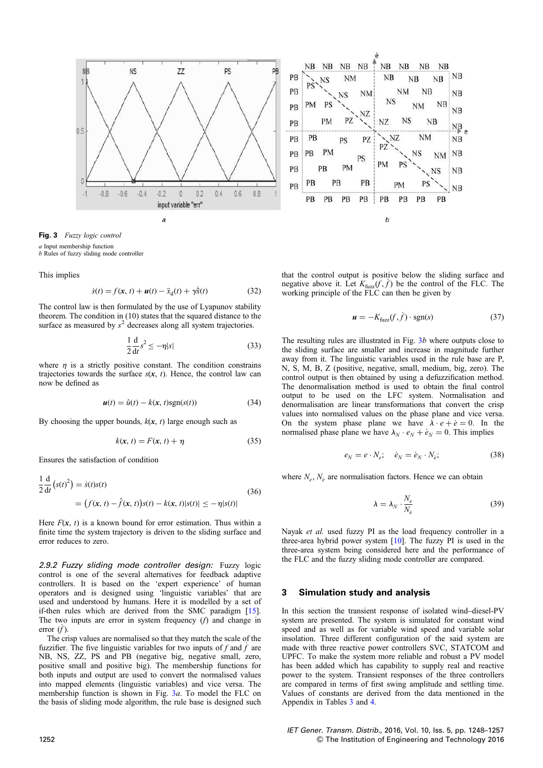

Fig. 3 *Fuzzy logic control*

*a* Input membership function *b* Rules of fuzzy sliding mode controller

This implies

$$
\dot{s}(t) = f(\mathbf{x}, t) + \mathbf{u}(t) - \ddot{x}_{d}(t) + \gamma \dot{\tilde{x}}(t)
$$
\n(32)

The control law is then formulated by the use of Lyapunov stability theorem. The condition in (10) states that the squared distance to the surface as measured by  $s^2$  decreases along all system trajectories.

$$
\frac{1}{2}\frac{\mathrm{d}}{\mathrm{d}t}s^2 \le -\eta|s| \tag{33}
$$

where  $\eta$  is a strictly positive constant. The condition constrains trajectories towards the surface  $s(x, t)$ . Hence, the control law can now be defined as

$$
\mathbf{u}(t) = \hat{u}(t) - k(\mathbf{x}, t)\text{sgn}(s(t))
$$
\n(34)

By choosing the upper bounds,  $k(x, t)$  large enough such as

$$
k(x, t) = F(x, t) + \eta \tag{35}
$$

Ensures the satisfaction of condition

$$
\frac{1}{2}\frac{d}{dt}(s(t)^2) = \dot{s}(t)s(t)
$$
\n
$$
= (f(\mathbf{x}, t) - \hat{f}(\mathbf{x}, t))s(t) - k(\mathbf{x}, t)|s(t)| \le -\eta|s(t)|
$$
\n(36)

Here  $F(x, t)$  is a known bound for error estimation. Thus within a finite time the system trajectory is driven to the sliding surface and error reduces to zero.

*2.9.2 Fuzzy sliding mode controller design:* Fuzzy logic control is one of the several alternatives for feedback adaptive controllers. It is based on the 'expert experience' of human operators and is designed using 'linguistic variables' that are used and understood by humans. Here it is modelled by a set of if-then rules which are derived from the SMC paradigm [\[15](#page-10-0)]. The two inputs are error in system frequency (*f*) and change in  $\frac{1}{2}$  error  $(\hat{f})$ .

The crisp values are normalised so that they match the scale of the fuzzifier. The five linguistic variables for two inputs of  $f$  and  $\dot{f}$  are NB, NS, ZZ, PS and PB (negative big, negative small, zero, positive small and positive big). The membership functions for both inputs and output are used to convert the normalised values into mapped elements (linguistic variables) and vice versa. The membership function is shown in Fig. 3*a*. To model the FLC on the basis of sliding mode algorithm, the rule base is designed such



that the control output is positive below the sliding surface and negative above it. Let  $K_{\text{fuzzy}}(f, f)$  be the control of the FLC. The working principle of the FLC can then be given by

$$
\mathbf{u} = -K_{\text{fuzz}}(f, \dot{f}) \cdot \text{sgn}(s) \tag{37}
$$

The resulting rules are illustrated in Fig. 3*b* where outputs close to the sliding surface are smaller and increase in magnitude further away from it. The linguistic variables used in the rule base are P, N, S, M, B, Z (positive, negative, small, medium, big, zero). The control output is then obtained by using a defuzzification method. The denormalisation method is used to obtain the final control output to be used on the LFC system. Normalisation and denormalisation are linear transformations that convert the crisp values into normalised values on the phase plane and vice versa. On the system phase plane we have  $\lambda \cdot e + \dot{e} = 0$ . In the normalised phase plane we have  $\lambda_N \cdot e_N + e_N = 0$ . This implies

$$
e_N = e \cdot N_e; \quad \dot{e}_N = \dot{e}_N \cdot N_{\dot{e}}; \tag{38}
$$

where  $N_e$ ,  $N_e$  are normalisation factors. Hence we can obtain

$$
\lambda = \lambda_N \cdot \frac{N_e}{N_e} \tag{39}
$$

Nayak *et al.* used fuzzy PI as the load frequency controller in a three-area hybrid power system [\[10](#page-10-0)]. The fuzzy PI is used in the three-area system being considered here and the performance of the FLC and the fuzzy sliding mode controller are compared.

#### 3 Simulation study and analysis

In this section the transient response of isolated wind–diesel-PV system are presented. The system is simulated for constant wind speed and as well as for variable wind speed and variable solar insolation. Three different configuration of the said system are made with three reactive power controllers SVC, STATCOM and UPFC. To make the system more reliable and robust a PV model has been added which has capability to supply real and reactive power to the system. Transient responses of the three controllers are compared in terms of first swing amplitude and settling time. Values of constants are derived from the data mentioned in the Appendix in Tables [3](#page-10-0) and [4.](#page-10-0)

*IET Gener. Transm. Distrib.*, 2016, Vol. 10, Iss. 5, pp. 1248–1257 1252 **b 2016 Contract Contract Contract Contract Contract Contract Contract Contract Contract Contract Contract Contract Contract Contract Contract Contract Contract Contract Contract Contract Contract Contract Contract**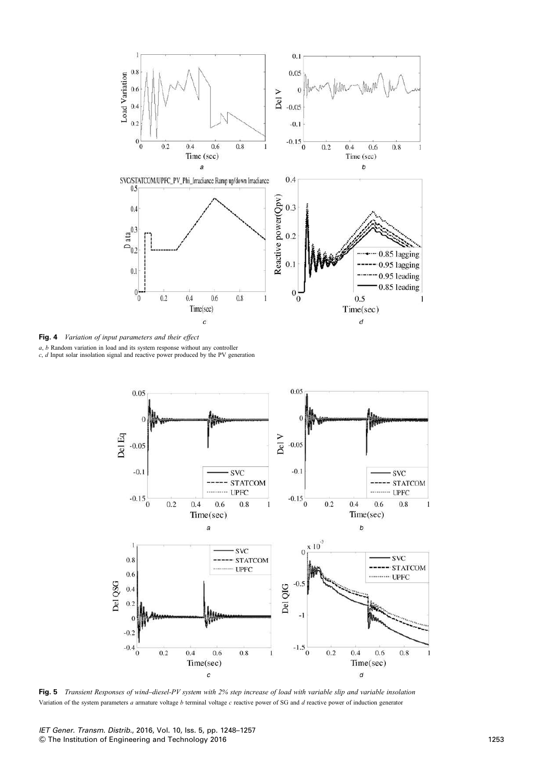<span id="page-6-0"></span>

Fig. 4 *Variation of input parameters and their effect*

*a*, *b* Random variation in load and its system response without any controller *c*, *d* Input solar insolation signal and reactive power produced by the PV generation



Fig. 5 *Transient Responses of wind*–*diesel-PV system with 2% step increase of load with variable slip and variable insolation* Variation of the system parameters *a* armature voltage *b* terminal voltage *c* reactive power of SG and *d* reactive power of induction generator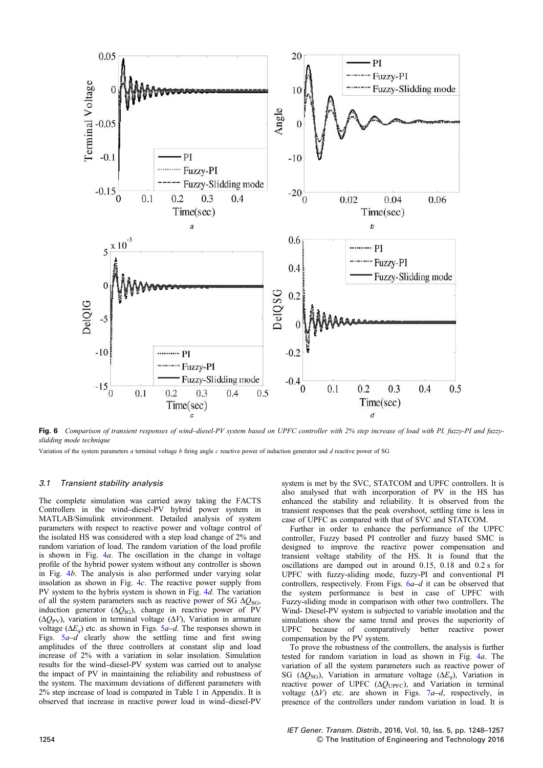

Fig. 6 *Comparison of transient responses of wind*–*diesel-PV system based on UPFC controller with 2% step increase of load with PI, fuzzy-PI and fuzzyslidding mode technique*

Variation of the system parameters *a* terminal voltage *b* firing angle *c* reactive power of induction generator and *d* reactive power of SG

#### *3.1 Transient stability analysis*

The complete simulation was carried away taking the FACTS Controllers in the wind–diesel-PV hybrid power system in MATLAB/Simulink environment. Detailed analysis of system parameters with respect to reactive power and voltage control of the isolated HS was considered with a step load change of 2% and random variation of load. The random variation of the load profile is shown in Fig. [4](#page-6-0)*a*. The oscillation in the change in voltage profile of the hybrid power system without any controller is shown in Fig. [4](#page-6-0)*b*. The analysis is also performed under varying solar insolation as shown in Fig. [4](#page-6-0)*c*. The reactive power supply from PV system to the hybris system is shown in Fig. [4](#page-6-0)*d*. The variation of all the system parameters such as reactive power of SG  $\Delta Q_{\text{SG}}$ , induction generator  $(\Delta Q_{IG})$ , change in reactive power of PV (Δ*Q*PV), variation in terminal voltage (Δ*V*), Variation in armature voltage  $(\Delta E_q)$  etc. as shown in Figs. [5](#page-6-0)*a–d*. The responses shown in Figs. [5](#page-6-0)*a*–*d* clearly show the settling time and first swing amplitudes of the three controllers at constant slip and load increase of 2% with a variation in solar insolation. Simulation results for the wind–diesel-PV system was carried out to analyse the impact of PV in maintaining the reliability and robustness of the system. The maximum deviations of different parameters with 2% step increase of load is compared in Table [1](#page-10-0) in Appendix. It is observed that increase in reactive power load in wind–diesel-PV

system is met by the SVC, STATCOM and UPFC controllers. It is also analysed that with incorporation of PV in the HS has enhanced the stability and reliability. It is observed from the transient responses that the peak overshoot, settling time is less in case of UPFC as compared with that of SVC and STATCOM.

Further in order to enhance the performance of the UPFC controller, Fuzzy based PI controller and fuzzy based SMC is designed to improve the reactive power compensation and transient voltage stability of the HS. It is found that the oscillations are damped out in around 0.15, 0.18 and 0.2 s for UPFC with fuzzy-sliding mode, fuzzy-PI and conventional PI controllers, respectively. From Figs. [6](#page-8-0)*a*–*d* it can be observed that the system performance is best in case of UPFC with Fuzzy-sliding mode in comparison with other two controllers. The Wind- Diesel-PV system is subjected to variable insolation and the simulations show the same trend and proves the superiority of UPFC because of comparatively better reactive power compensation by the PV system.

To prove the robustness of the controllers, the analysis is further tested for random variation in load as shown in Fig. [4](#page-6-0)*a*. The variation of all the system parameters such as reactive power of SG ( $\Delta Q_{SG}$ ), Variation in armature voltage ( $\Delta E_a$ ), Variation in reactive power of UPFC (Δ*Q*UPFC), and Variation in terminal voltage  $(\Delta V)$  etc. are shown in Figs. [7](#page-8-0)*a–d*, respectively, in presence of the controllers under random variation in load. It is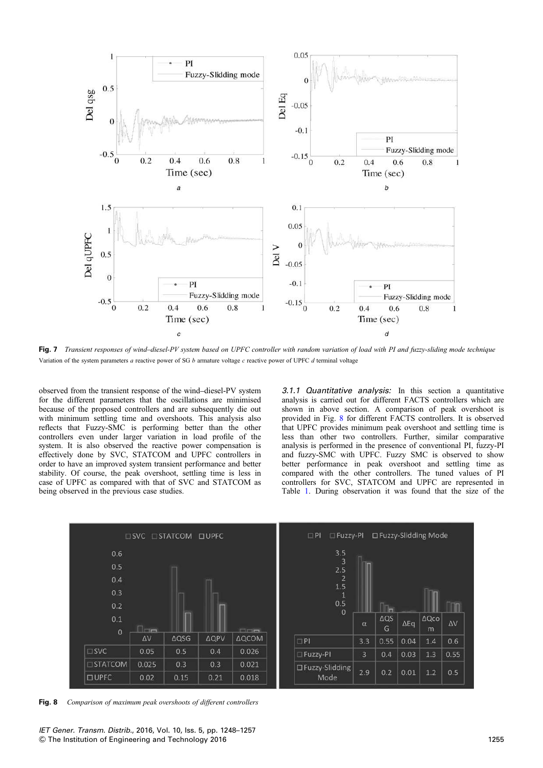<span id="page-8-0"></span>

Fig. 7 *Transient responses of wind*–*diesel-PV system based on UPFC controller with random variation of load with PI and fuzzy-sliding mode technique* Variation of the system parameters *a* reactive power of SG *b* armature voltage *c* reactive power of UPFC *d* terminal voltage

observed from the transient response of the wind–diesel-PV system for the different parameters that the oscillations are minimised because of the proposed controllers and are subsequently die out with minimum settling time and overshoots. This analysis also reflects that Fuzzy-SMC is performing better than the other controllers even under larger variation in load profile of the system. It is also observed the reactive power compensation is effectively done by SVC, STATCOM and UPFC controllers in order to have an improved system transient performance and better stability. Of course, the peak overshoot, settling time is less in case of UPFC as compared with that of SVC and STATCOM as being observed in the previous case studies.

*3.1.1 Quantitative analysis:* In this section a quantitative analysis is carried out for different FACTS controllers which are shown in above section. A comparison of peak overshoot is provided in Fig. 8 for different FACTS controllers. It is observed that UPFC provides minimum peak overshoot and settling time is less than other two controllers. Further, similar comparative analysis is performed in the presence of conventional PI, fuzzy-PI and fuzzy-SMC with UPFC. Fuzzy SMC is observed to show better performance in peak overshoot and settling time as compared with the other controllers. The tuned values of PI controllers for SVC, STATCOM and UPFC are represented in Table [1.](#page-10-0) During observation it was found that the size of the



Fig. 8 *Comparison of maximum peak overshoots of different controllers*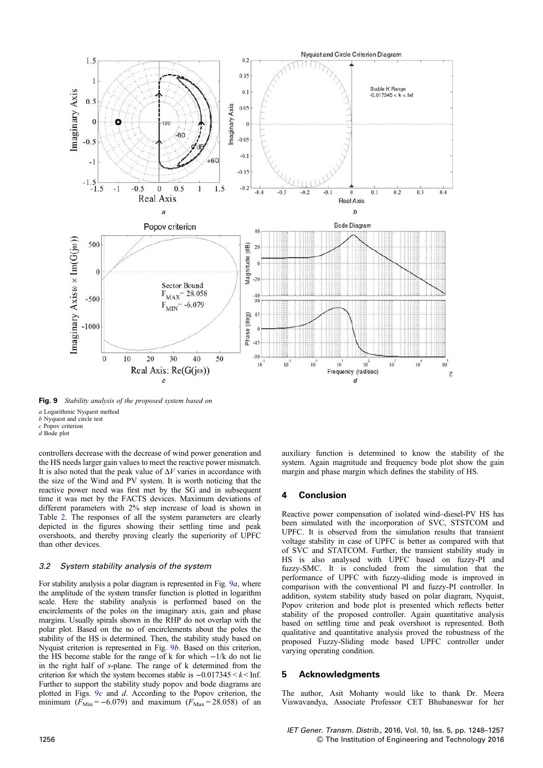

Fig. 9 *Stability analysis of the proposed system based on*

- *a* Logarithmic Nyquest method
- *b* Nyquest and circle test
- *c* Popov criterion *d* Bode plot

controllers decrease with the decrease of wind power generation and the HS needs larger gain values to meet the reactive power mismatch. It is also noted that the peak value of Δ*V* varies in accordance with the size of the Wind and PV system. It is worth noticing that the reactive power need was first met by the SG and in subsequent time it was met by the FACTS devices. Maximum deviations of different parameters with 2% step increase of load is shown in Table [2](#page-10-0). The responses of all the system parameters are clearly depicted in the figures showing their settling time and peak overshoots, and thereby proving clearly the superiority of UPFC than other devices.

#### *3.2 System stability analysis of the system*

For stability analysis a polar diagram is represented in Fig. 9*a*, where the amplitude of the system transfer function is plotted in logarithm scale. Here the stability analysis is performed based on the encirclements of the poles on the imaginary axis, gain and phase margins. Usually spirals shown in the RHP do not overlap with the polar plot. Based on the no of encirclements about the poles the stability of the HS is determined. Then, the stability study based on Nyquist criterion is represented in Fig. 9*b*. Based on this criterion, the HS become stable for the range of k for which −1/k do not lie in the right half of *s*-plane. The range of k determined from the criterion for which the system becomes stable is −0.017345 < *k* < Inf. Further to support the stability study popov and bode diagrams are plotted in Figs. 9*c* and *d*. According to the Popov criterion, the minimum ( $F_{\text{Min}} = -6.079$ ) and maximum ( $F_{\text{Max}} = 28.058$ ) of an

auxiliary function is determined to know the stability of the system. Again magnitude and frequency bode plot show the gain margin and phase margin which defines the stability of HS.

#### 4 Conclusion

Reactive power compensation of isolated wind–diesel-PV HS has been simulated with the incorporation of SVC, STSTCOM and UPFC. It is observed from the simulation results that transient voltage stability in case of UPFC is better as compared with that of SVC and STATCOM. Further, the transient stability study in HS is also analysed with UPFC based on fuzzy-PI and fuzzy-SMC. It is concluded from the simulation that the performance of UPFC with fuzzy-sliding mode is improved in comparison with the conventional PI and fuzzy-PI controller. In addition, system stability study based on polar diagram, Nyquist, Popov criterion and bode plot is presented which reflects better stability of the proposed controller. Again quantitative analysis based on settling time and peak overshoot is represented. Both qualitative and quantitative analysis proved the robustness of the proposed Fuzzy-Sliding mode based UPFC controller under varying operating condition.

#### 5 Acknowledgments

The author, Asit Mohanty would like to thank Dr. Meera Viswavandya, Associate Professor CET Bhubaneswar for her